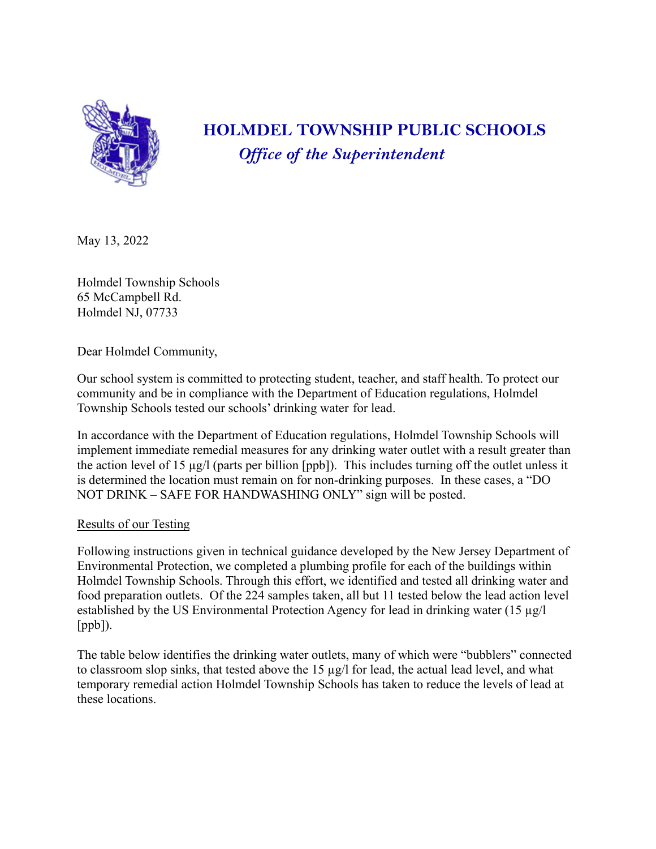

# **HOLMDEL TOWNSHIP PUBLIC SCHOOLS** *Of ice of the Superintendent*

May 13, 2022

Holmdel Township Schools 65 McCampbell Rd. Holmdel NJ, 07733

Dear Holmdel Community,

Our school system is committed to protecting student, teacher, and staff health. To protect our community and be in compliance with the Department of Education regulations, Holmdel Township Schools tested our schools' drinking water for lead.

In accordance with the Department of Education regulations, Holmdel Township Schools will implement immediate remedial measures for any drinking water outlet with a result greater than the action level of 15 µg/l (parts per billion [ppb]). This includes turning off the outlet unless it is determined the location must remain on for non-drinking purposes. In these cases, a "DO NOT DRINK – SAFE FOR HANDWASHING ONLY" sign will be posted.

## Results of our Testing

Following instructions given in technical guidance developed by the New Jersey Department of Environmental Protection, we completed a plumbing profile for each of the buildings within Holmdel Township Schools. Through this effort, we identified and tested all drinking water and food preparation outlets. Of the 224 samples taken, all but 11 tested below the lead action level established by the US Environmental Protection Agency for lead in drinking water (15 µg/l [ppb]).

The table below identifies the drinking water outlets, many of which were "bubblers" connected to classroom slop sinks, that tested above the 15 µg/l for lead, the actual lead level, and what temporary remedial action Holmdel Township Schools has taken to reduce the levels of lead at these locations.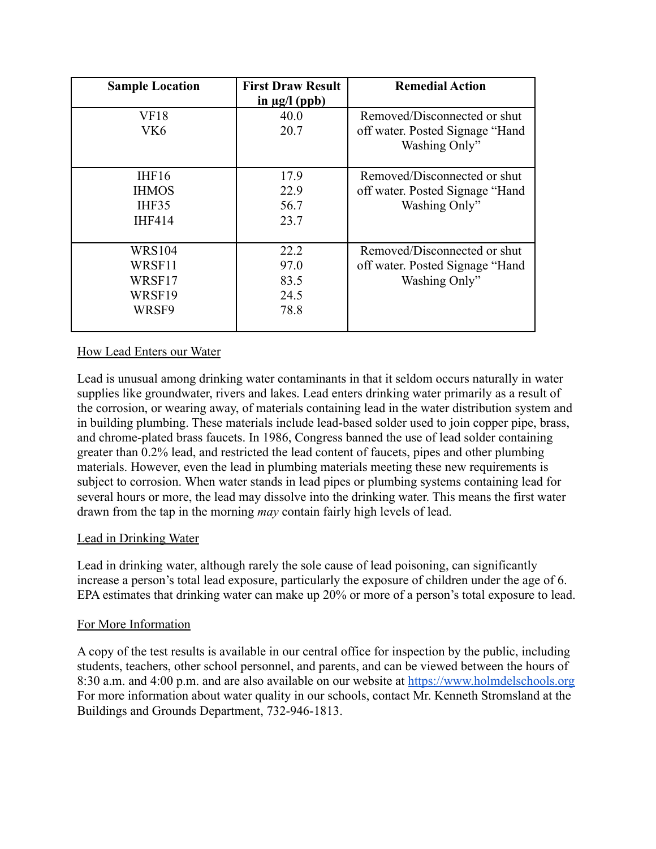| <b>Sample Location</b> | <b>First Draw Result</b> | <b>Remedial Action</b>          |
|------------------------|--------------------------|---------------------------------|
|                        | in $\mu$ g/l (ppb)       |                                 |
| VF18                   | 40.0                     | Removed/Disconnected or shut    |
| VK6                    | 20.7                     | off water. Posted Signage "Hand |
|                        |                          | Washing Only"                   |
|                        |                          |                                 |
| IHF16                  | 17.9                     | Removed/Disconnected or shut    |
| <b>IHMOS</b>           | 22.9                     | off water. Posted Signage "Hand |
| IHF35                  | 56.7                     | Washing Only"                   |
| <b>IHF414</b>          | 23.7                     |                                 |
|                        |                          |                                 |
| <b>WRS104</b>          | 22.2                     | Removed/Disconnected or shut    |
| WRSF11                 | 97.0                     | off water. Posted Signage "Hand |
| WRSF17                 | 83.5                     | Washing Only"                   |
| WRSF19                 | 24.5                     |                                 |
| WRSF9                  | 78.8                     |                                 |
|                        |                          |                                 |

### How Lead Enters our Water

Lead is unusual among drinking water contaminants in that it seldom occurs naturally in water supplies like groundwater, rivers and lakes. Lead enters drinking water primarily as a result of the corrosion, or wearing away, of materials containing lead in the water distribution system and in building plumbing. These materials include lead-based solder used to join copper pipe, brass, and chrome-plated brass faucets. In 1986, Congress banned the use of lead solder containing greater than 0.2% lead, and restricted the lead content of faucets, pipes and other plumbing materials. However, even the lead in plumbing materials meeting these new requirements is subject to corrosion. When water stands in lead pipes or plumbing systems containing lead for several hours or more, the lead may dissolve into the drinking water. This means the first water drawn from the tap in the morning *may* contain fairly high levels of lead.

### Lead in Drinking Water

Lead in drinking water, although rarely the sole cause of lead poisoning, can significantly increase a person's total lead exposure, particularly the exposure of children under the age of 6. EPA estimates that drinking water can make up 20% or more of a person's total exposure to lead.

#### For More Information

A copy of the test results is available in our central office for inspection by the public, including students, teachers, other school personnel, and parents, and can be viewed between the hours of 8:30 a.m. and 4:00 p.m. and are also available on our website at <https://www.holmdelschools.org> For more information about water quality in our schools, contact Mr. Kenneth Stromsland at the Buildings and Grounds Department, 732-946-1813.